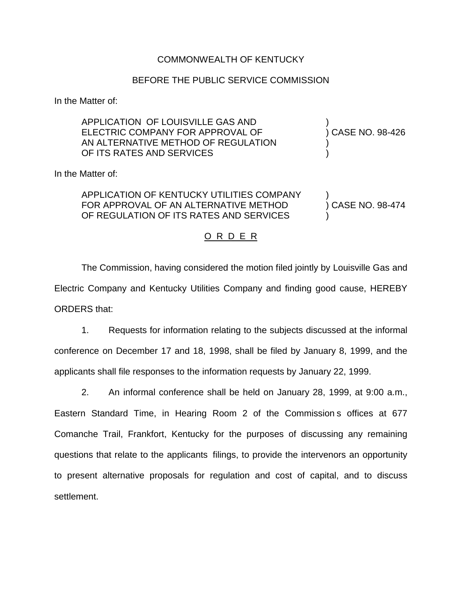## COMMONWEALTH OF KENTUCKY

## BEFORE THE PUBLIC SERVICE COMMISSION

In the Matter of:

| APPLICATION OF LOUISVILLE GAS AND<br>ELECTRIC COMPANY FOR APPROVAL OF<br>AN ALTERNATIVE METHOD OF REGULATION<br>OF ITS RATES AND SERVICES | ) CASE NO. 98-426 |
|-------------------------------------------------------------------------------------------------------------------------------------------|-------------------|
| In the Matter of:                                                                                                                         |                   |
| APPLICATION OF KENTUCKY UTILITIES COMPANY<br>FOR APPROVAL OF AN ALTERNATIVE METHOD<br>OF REGULATION OF ITS RATES AND SERVICES             | CASE NO. 98-474   |
|                                                                                                                                           |                   |

## <u>O R D E R</u>

The Commission, having considered the motion filed jointly by Louisville Gas and Electric Company and Kentucky Utilities Company and finding good cause, HEREBY ORDERS that:

1. Requests for information relating to the subjects discussed at the informal conference on December 17 and 18, 1998, shall be filed by January 8, 1999, and the applicants shall file responses to the information requests by January 22, 1999.

2. An informal conference shall be held on January 28, 1999, at 9:00 a.m., Eastern Standard Time, in Hearing Room 2 of the Commission s offices at 677 Comanche Trail, Frankfort, Kentucky for the purposes of discussing any remaining questions that relate to the applicants filings, to provide the intervenors an opportunity to present alternative proposals for regulation and cost of capital, and to discuss settlement.